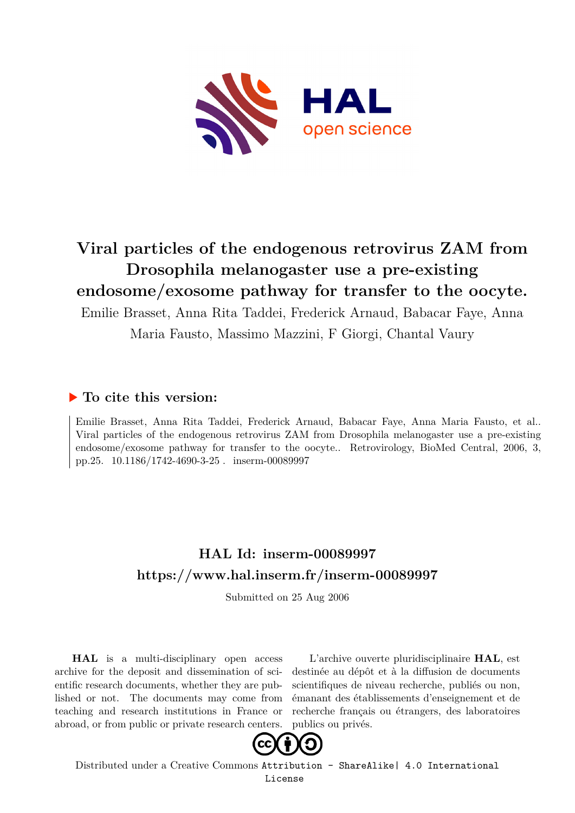

# **Viral particles of the endogenous retrovirus ZAM from Drosophila melanogaster use a pre-existing endosome/exosome pathway for transfer to the oocyte.**

Emilie Brasset, Anna Rita Taddei, Frederick Arnaud, Babacar Faye, Anna

Maria Fausto, Massimo Mazzini, F Giorgi, Chantal Vaury

## **To cite this version:**

Emilie Brasset, Anna Rita Taddei, Frederick Arnaud, Babacar Faye, Anna Maria Fausto, et al.. Viral particles of the endogenous retrovirus ZAM from Drosophila melanogaster use a pre-existing endosome/exosome pathway for transfer to the oocyte.. Retrovirology, BioMed Central, 2006, 3, pp.25. 10.1186/1742-4690-3-25 . inserm-00089997

# **HAL Id: inserm-00089997 <https://www.hal.inserm.fr/inserm-00089997>**

Submitted on 25 Aug 2006

**HAL** is a multi-disciplinary open access archive for the deposit and dissemination of scientific research documents, whether they are published or not. The documents may come from teaching and research institutions in France or abroad, or from public or private research centers.

L'archive ouverte pluridisciplinaire **HAL**, est destinée au dépôt et à la diffusion de documents scientifiques de niveau recherche, publiés ou non, émanant des établissements d'enseignement et de recherche français ou étrangers, des laboratoires publics ou privés.



Distributed under a Creative Commons [Attribution - ShareAlike| 4.0 International](http://creativecommons.org/licenses/by-sa/4.0/) [License](http://creativecommons.org/licenses/by-sa/4.0/)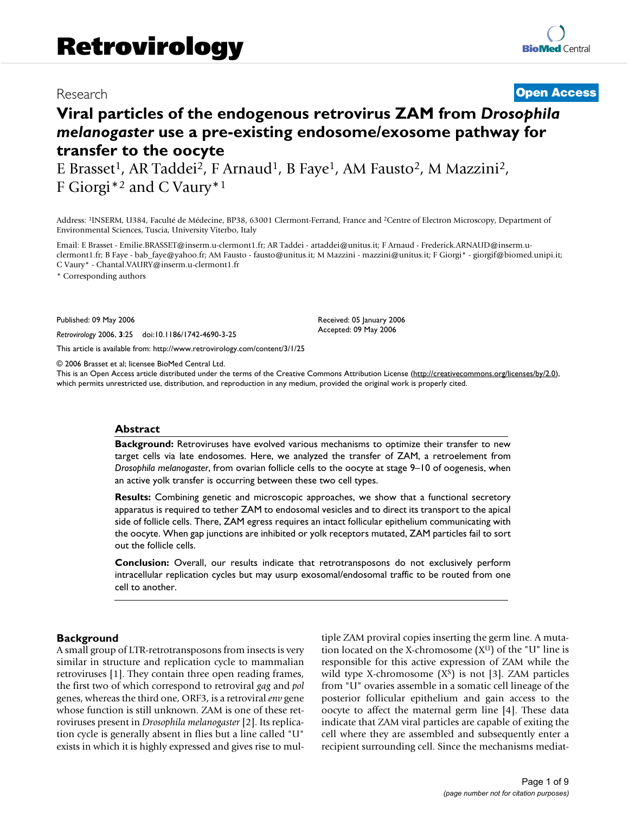### Research **[Open Access](http://www.biomedcentral.com/info/about/charter/)**

# **Viral particles of the endogenous retrovirus ZAM from** *Drosophila melanogaster* **use a pre-existing endosome/exosome pathway for transfer to the oocyte**

E Brasset<sup>1</sup>, AR Taddei<sup>2</sup>, F Arnaud<sup>1</sup>, B Faye<sup>1</sup>, AM Fausto<sup>2</sup>, M Mazzini<sup>2</sup>, F Giorgi\*<sup>2</sup> and C Vaury\*<sup>1</sup>

Address: <sup>1</sup>INSERM, U384, Faculté de Médecine, BP38, 63001 Clermont-Ferrand, France and <sup>2</sup>Centre of Electron Microscopy, Department of Environmental Sciences, Tuscia, University Viterbo, Italy

Email: E Brasset - Emilie.BRASSET@inserm.u-clermont1.fr; AR Taddei - artaddei@unitus.it; F Arnaud - Frederick.ARNAUD@inserm.uclermont1.fr; B Faye - bab\_faye@yahoo.fr; AM Fausto - fausto@unitus.it; M Mazzini - mazzini@unitus.it; F Giorgi\* - giorgif@biomed.unipi.it; C Vaury\* - Chantal.VAURY@inserm.u-clermont1.fr

\* Corresponding authors

Published: 09 May 2006

*Retrovirology* 2006, **3**:25 doi:10.1186/1742-4690-3-25

[This article is available from: http://www.retrovirology.com/content/3/1/25](http://www.retrovirology.com/content/3/1/25)

© 2006 Brasset et al; licensee BioMed Central Ltd.

This is an Open Access article distributed under the terms of the Creative Commons Attribution License [\(http://creativecommons.org/licenses/by/2.0\)](http://creativecommons.org/licenses/by/2.0), which permits unrestricted use, distribution, and reproduction in any medium, provided the original work is properly cited.

Received: 05 January 2006 Accepted: 09 May 2006

#### **Abstract**

**Background:** Retroviruses have evolved various mechanisms to optimize their transfer to new target cells via late endosomes. Here, we analyzed the transfer of ZAM, a retroelement from *Drosophila melanogaster*, from ovarian follicle cells to the oocyte at stage 9–10 of oogenesis, when an active yolk transfer is occurring between these two cell types.

**Results:** Combining genetic and microscopic approaches, we show that a functional secretory apparatus is required to tether ZAM to endosomal vesicles and to direct its transport to the apical side of follicle cells. There, ZAM egress requires an intact follicular epithelium communicating with the oocyte. When gap junctions are inhibited or yolk receptors mutated, ZAM particles fail to sort out the follicle cells.

**Conclusion:** Overall, our results indicate that retrotransposons do not exclusively perform intracellular replication cycles but may usurp exosomal/endosomal traffic to be routed from one cell to another.

#### **Background**

A small group of LTR-retrotransposons from insects is very similar in structure and replication cycle to mammalian retroviruses [1]. They contain three open reading frames, the first two of which correspond to retroviral *gag* and *pol* genes, whereas the third one, ORF3, is a retroviral *env* gene whose function is still unknown. ZAM is one of these retroviruses present in *Drosophila melanogaster* [2]. Its replication cycle is generally absent in flies but a line called "U" exists in which it is highly expressed and gives rise to multiple ZAM proviral copies inserting the germ line. A mutation located on the X-chromosome  $(X^U)$  of the "U" line is responsible for this active expression of ZAM while the wild type X-chromosome  $(X<sup>s</sup>)$  is not [3]. ZAM particles from "U" ovaries assemble in a somatic cell lineage of the posterior follicular epithelium and gain access to the oocyte to affect the maternal germ line [4]. These data indicate that ZAM viral particles are capable of exiting the cell where they are assembled and subsequently enter a recipient surrounding cell. Since the mechanisms mediat-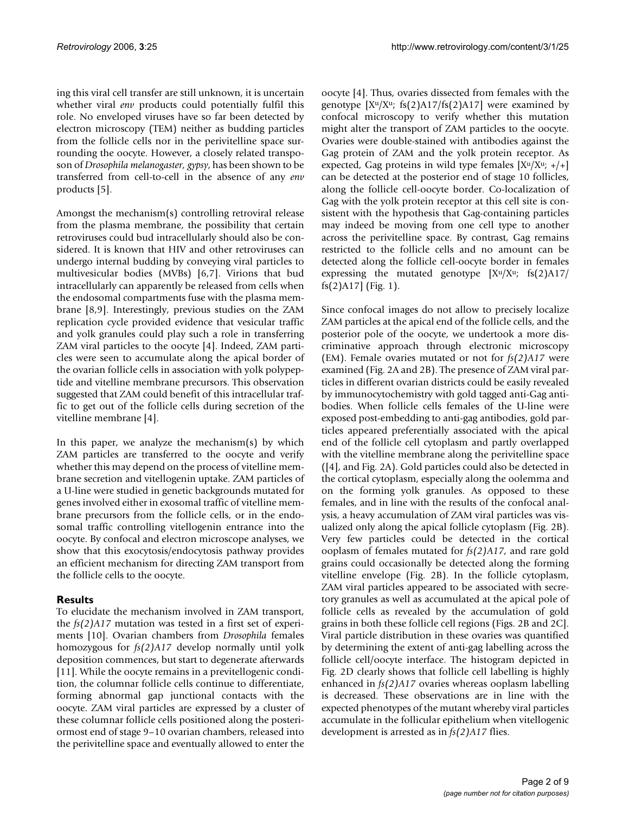ing this viral cell transfer are still unknown, it is uncertain whether viral *env* products could potentially fulfil this role. No enveloped viruses have so far been detected by electron microscopy (TEM) neither as budding particles from the follicle cells nor in the perivitelline space surrounding the oocyte. However, a closely related transposon of *Drosophila melanogaster, gypsy*, has been shown to be transferred from cell-to-cell in the absence of any *env* products [5].

Amongst the mechanism(s) controlling retroviral release from the plasma membrane, the possibility that certain retroviruses could bud intracellularly should also be considered. It is known that HIV and other retroviruses can undergo internal budding by conveying viral particles to multivesicular bodies (MVBs) [6,7]. Virions that bud intracellularly can apparently be released from cells when the endosomal compartments fuse with the plasma membrane [8,9]. Interestingly, previous studies on the ZAM replication cycle provided evidence that vesicular traffic and yolk granules could play such a role in transferring ZAM viral particles to the oocyte [4]. Indeed, ZAM particles were seen to accumulate along the apical border of the ovarian follicle cells in association with yolk polypeptide and vitelline membrane precursors. This observation suggested that ZAM could benefit of this intracellular traffic to get out of the follicle cells during secretion of the vitelline membrane [4].

In this paper, we analyze the mechanism(s) by which ZAM particles are transferred to the oocyte and verify whether this may depend on the process of vitelline membrane secretion and vitellogenin uptake. ZAM particles of a U-line were studied in genetic backgrounds mutated for genes involved either in exosomal traffic of vitelline membrane precursors from the follicle cells, or in the endosomal traffic controlling vitellogenin entrance into the oocyte. By confocal and electron microscope analyses, we show that this exocytosis/endocytosis pathway provides an efficient mechanism for directing ZAM transport from the follicle cells to the oocyte.

### **Results**

To elucidate the mechanism involved in ZAM transport, the *fs(2)A17* mutation was tested in a first set of experiments [10]. Ovarian chambers from *Drosophila* females homozygous for *fs(2)A17* develop normally until yolk deposition commences, but start to degenerate afterwards [11]. While the oocyte remains in a previtellogenic condition, the columnar follicle cells continue to differentiate, forming abnormal gap junctional contacts with the oocyte. ZAM viral particles are expressed by a cluster of these columnar follicle cells positioned along the posteriormost end of stage 9–10 ovarian chambers, released into the perivitelline space and eventually allowed to enter the oocyte [4]. Thus, ovaries dissected from females with the genotype  $[X^u/X^u$ ; fs(2)A17/fs(2)A17] were examined by confocal microscopy to verify whether this mutation might alter the transport of ZAM particles to the oocyte. Ovaries were double-stained with antibodies against the Gag protein of ZAM and the yolk protein receptor. As expected, Gag proteins in wild type females  $[X^u/X^u; +/+]$ can be detected at the posterior end of stage 10 follicles, along the follicle cell-oocyte border. Co-localization of Gag with the yolk protein receptor at this cell site is consistent with the hypothesis that Gag-containing particles may indeed be moving from one cell type to another across the perivitelline space. By contrast, Gag remains restricted to the follicle cells and no amount can be detected along the follicle cell-oocyte border in females expressing the mutated genotype  $[X^u/X^u;$  fs $(2)$ A17/ fs(2)A17] (Fig. 1).

Since confocal images do not allow to precisely localize ZAM particles at the apical end of the follicle cells, and the posterior pole of the oocyte, we undertook a more discriminative approach through electronic microscopy (EM). Female ovaries mutated or not for *fs(2)A17* were examined (Fig. 2A and 2B). The presence of ZAM viral particles in different ovarian districts could be easily revealed by immunocytochemistry with gold tagged anti-Gag antibodies. When follicle cells females of the U-line were exposed post-embedding to anti-gag antibodies, gold particles appeared preferentially associated with the apical end of the follicle cell cytoplasm and partly overlapped with the vitelline membrane along the perivitelline space ([4], and Fig. 2A). Gold particles could also be detected in the cortical cytoplasm, especially along the oolemma and on the forming yolk granules. As opposed to these females, and in line with the results of the confocal analysis, a heavy accumulation of ZAM viral particles was visualized only along the apical follicle cytoplasm (Fig. 2B). Very few particles could be detected in the cortical ooplasm of females mutated for *fs(2)A17*, and rare gold grains could occasionally be detected along the forming vitelline envelope (Fig. 2B). In the follicle cytoplasm, ZAM viral particles appeared to be associated with secretory granules as well as accumulated at the apical pole of follicle cells as revealed by the accumulation of gold grains in both these follicle cell regions (Figs. 2B and 2C]. Viral particle distribution in these ovaries was quantified by determining the extent of anti-gag labelling across the follicle cell/oocyte interface. The histogram depicted in Fig. 2D clearly shows that follicle cell labelling is highly enhanced in *fs(2)A17* ovaries whereas ooplasm labelling is decreased. These observations are in line with the expected phenotypes of the mutant whereby viral particles accumulate in the follicular epithelium when vitellogenic development is arrested as in *fs(2)A17* flies.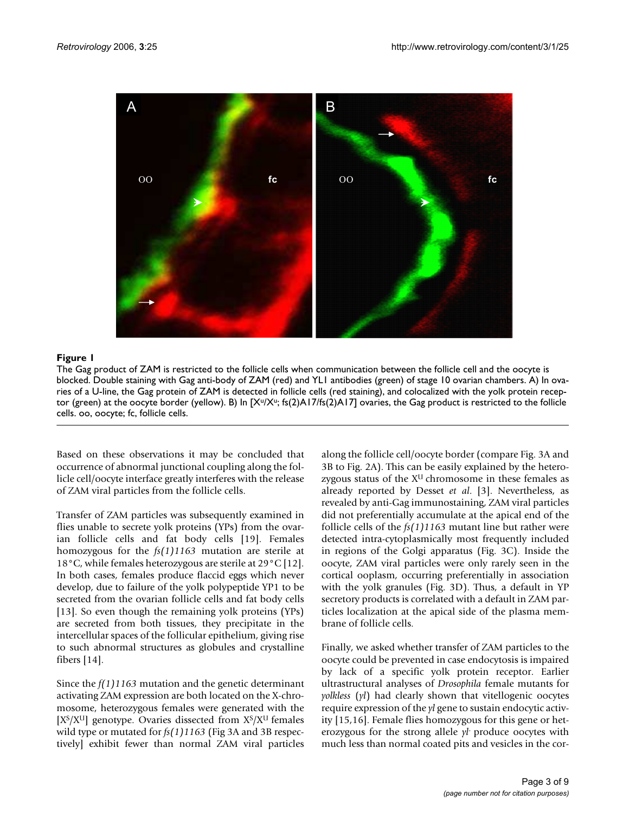

#### The Gag product of ZAM is restricted to th **Figure 1** blocked e follicle cells when communication between the follicle cell and the oocyte is

The Gag product of ZAM is restricted to the follicle cells when communication between the follicle cell and the oocyte is blocked. Double staining with Gag anti-body of ZAM (red) and YL1 antibodies (green) of stage 10 ovarian chambers. A) In ovaries of a U-line, the Gag protein of ZAM is detected in follicle cells (red staining), and colocalized with the yolk protein receptor (green) at the oocyte border (yellow). B) In  $[X^u/X^u$ ; fs(2)A17/fs(2)A17] ovaries, the Gag product is restricted to the follicle cells. oo, oocyte; fc, follicle cells.

Based on these observations it may be concluded that occurrence of abnormal junctional coupling along the follicle cell/oocyte interface greatly interferes with the release of ZAM viral particles from the follicle cells.

Transfer of ZAM particles was subsequently examined in flies unable to secrete yolk proteins (YPs) from the ovarian follicle cells and fat body cells [19]. Females homozygous for the *fs(1)1163* mutation are sterile at 18°C, while females heterozygous are sterile at 29°C [12]. In both cases, females produce flaccid eggs which never develop, due to failure of the yolk polypeptide YP1 to be secreted from the ovarian follicle cells and fat body cells [13]. So even though the remaining yolk proteins (YPs) are secreted from both tissues, they precipitate in the intercellular spaces of the follicular epithelium, giving rise to such abnormal structures as globules and crystalline fibers [14].

Since the *f(1)1163* mutation and the genetic determinant activating ZAM expression are both located on the X-chromosome, heterozygous females were generated with the  $[X<sup>S</sup>/X<sup>U</sup>]$  genotype. Ovaries dissected from  $X<sup>S</sup>/X<sup>U</sup>$  females wild type or mutated for *fs(1)1163* (Fig 3A and 3B respectively] exhibit fewer than normal ZAM viral particles along the follicle cell/oocyte border (compare Fig. 3A and 3B to Fig. 2A). This can be easily explained by the heterozygous status of the  $X^U$  chromosome in these females as already reported by Desset *et al*. [3]. Nevertheless, as revealed by anti-Gag immunostaining, ZAM viral particles did not preferentially accumulate at the apical end of the follicle cells of the *fs(1)1163* mutant line but rather were detected intra-cytoplasmically most frequently included in regions of the Golgi apparatus (Fig. 3C). Inside the oocyte, ZAM viral particles were only rarely seen in the cortical ooplasm, occurring preferentially in association with the yolk granules (Fig. 3D). Thus, a default in YP secretory products is correlated with a default in ZAM particles localization at the apical side of the plasma membrane of follicle cells.

Finally, we asked whether transfer of ZAM particles to the oocyte could be prevented in case endocytosis is impaired by lack of a specific yolk protein receptor. Earlier ultrastructural analyses of *Drosophila* female mutants for *yolkless* (*yl*) had clearly shown that vitellogenic oocytes require expression of the *yl* gene to sustain endocytic activity [15,16]. Female flies homozygous for this gene or heterozygous for the strong allele *yl*- produce oocytes with much less than normal coated pits and vesicles in the cor-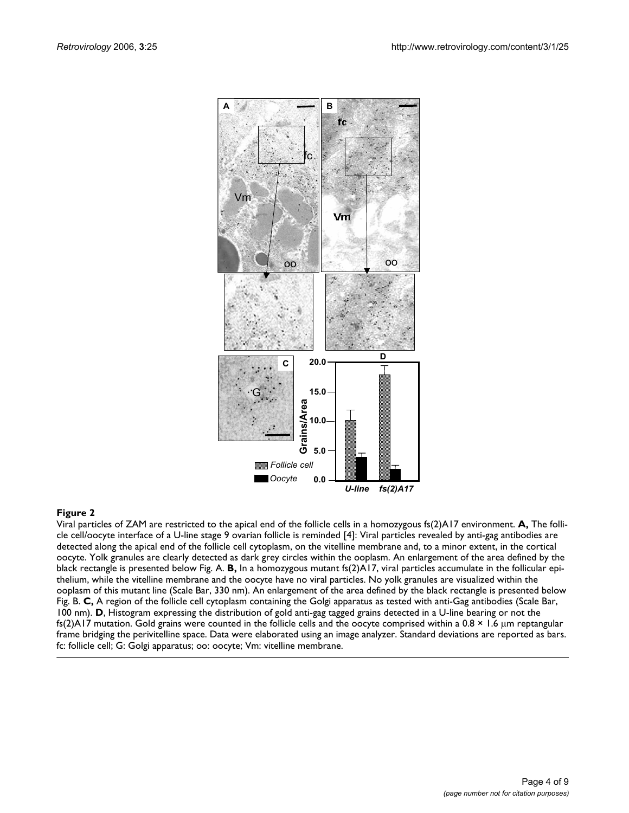

Viral particles of ZAM are restricted to the apical end of the follicle cells in a homozygous fs(2)A17 environment. **A,** The follicle cell/oocyte interface of a U-line stage 9 ovarian follicle is reminded [4]: Viral particles revealed by anti-gag antibodies are detected along the apical end of the follicle cell cytoplasm, on the vitelline membrane and, to a minor extent, in the cortical oocyte. Yolk granules are clearly detected as dark grey circles within the ooplasm. An enlargement of the area defined by the black rectangle is presented below Fig. A. **B,** In a homozygous mutant fs(2)A17, viral particles accumulate in the follicular epithelium, while the vitelline membrane and the oocyte have no viral particles. No yolk granules are visualized within the ooplasm of this mutant line (Scale Bar, 330 nm). An enlargement of the area defined by the black rectangle is presented below Fig. B. **C,** A region of the follicle cell cytoplasm containing the Golgi apparatus as tested with anti-Gag antibodies (Scale Bar, 100 nm). **D**, Histogram expressing the distribution of gold anti-gag tagged grains detected in a U-line bearing or not the fs(2)A17 mutation. Gold grains were counted in the follicle cells and the oocyte comprised within a  $0.8 \times 1.6 \mu m$  reptangular frame bridging the perivitelline space. Data were elaborated using an image analyzer. Standard deviations are reported as bars. fc: follicle cell; G: Golgi apparatus; oo: oocyte; Vm: vitelline membrane.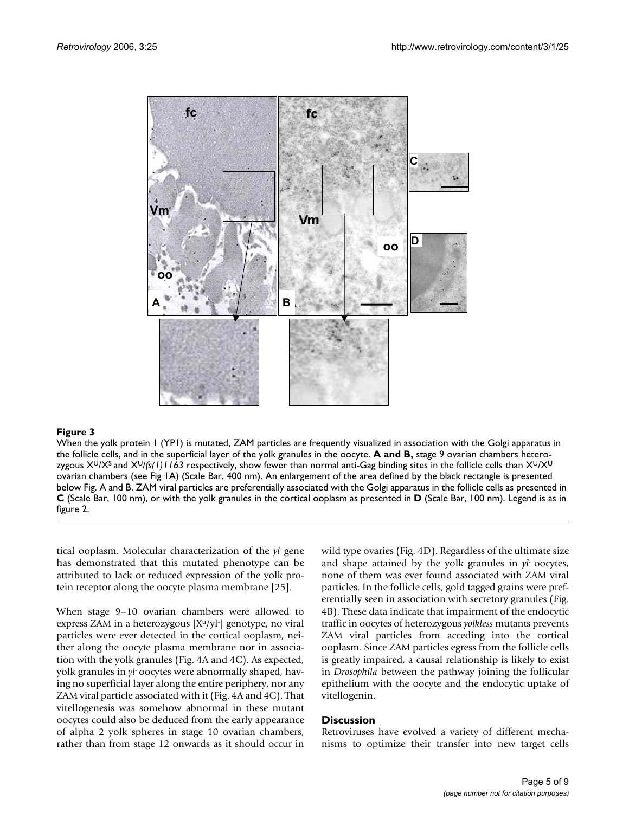

#### **Figure 3** Production of the contract of the contract of the contract of the contract of the contract of the contract of the contract of the contract of the contract of the contract of the contract of the contract of the c

When the yolk protein 1 (YP1) is mutated, ZAM particles are frequently visualized in association with the Golgi apparatus in the follicle cells, and in the superficial layer of the yolk granules in the oocyte. **A and B,** stage 9 ovarian chambers heterozygous X<sup>U</sup>/X<sup>S</sup> and X<sup>U</sup>/fs(1)1163 respectively, show fewer than normal anti-Gag binding sites in the follicle cells than X<sup>U</sup>/X<sup>U</sup> ovarian chambers (see Fig 1A) (Scale Bar, 400 nm). An enlargement of the area defined by the black rectangle is presented below Fig. A and B. ZAM viral particles are preferentially associated with the Golgi apparatus in the follicle cells as presented in **C** (Scale Bar, 100 nm), or with the yolk granules in the cortical ooplasm as presented in **D** (Scale Bar, 100 nm). Legend is as in figure 2.

tical ooplasm. Molecular characterization of the *yl* gene has demonstrated that this mutated phenotype can be attributed to lack or reduced expression of the yolk protein receptor along the oocyte plasma membrane [25].

When stage 9–10 ovarian chambers were allowed to express ZAM in a heterozygous  $[X^u/y]$  genotype, no viral particles were ever detected in the cortical ooplasm, neither along the oocyte plasma membrane nor in association with the yolk granules (Fig. 4A and 4C). As expected, yolk granules in *yl*- oocytes were abnormally shaped, having no superficial layer along the entire periphery, nor any ZAM viral particle associated with it (Fig. 4A and 4C). That vitellogenesis was somehow abnormal in these mutant oocytes could also be deduced from the early appearance of alpha 2 yolk spheres in stage 10 ovarian chambers, rather than from stage 12 onwards as it should occur in wild type ovaries (Fig. 4D). Regardless of the ultimate size and shape attained by the yolk granules in *yl*- oocytes, none of them was ever found associated with ZAM viral particles. In the follicle cells, gold tagged grains were preferentially seen in association with secretory granules (Fig. 4B). These data indicate that impairment of the endocytic traffic in oocytes of heterozygous *yolkless* mutants prevents ZAM viral particles from acceding into the cortical ooplasm. Since ZAM particles egress from the follicle cells is greatly impaired, a causal relationship is likely to exist in *Drosophila* between the pathway joining the follicular epithelium with the oocyte and the endocytic uptake of vitellogenin.

#### **Discussion**

Retroviruses have evolved a variety of different mechanisms to optimize their transfer into new target cells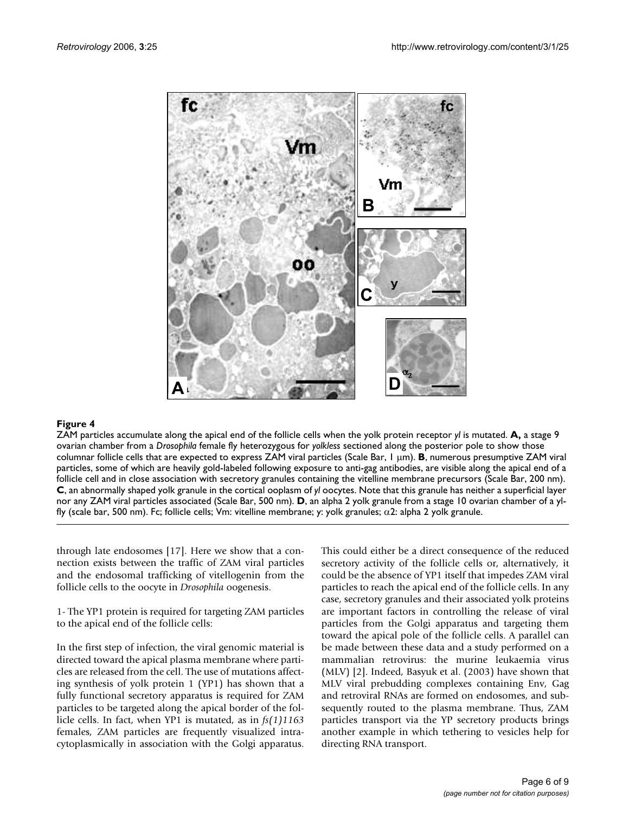

#### **Figure 4** ZAM particles accumulate along the apical end of the follicle cells when the yolk protein receptor *yl* is mutated

ZAM particles accumulate along the apical end of the follicle cells when the yolk protein receptor *yl* is mutated. **A,** a stage 9 ovarian chamber from a *Drosophila* female fly heterozygous for *yolkless* sectioned along the posterior pole to show those columnar follicle cells that are expected to express ZAM viral particles (Scale Bar, 1 µm). **B**, numerous presumptive ZAM viral particles, some of which are heavily gold-labeled following exposure to anti-gag antibodies, are visible along the apical end of a follicle cell and in close association with secretory granules containing the vitelline membrane precursors (Scale Bar, 200 nm). **C**, an abnormally shaped yolk granule in the cortical ooplasm of *yl* oocytes. Note that this granule has neither a superficial layer nor any ZAM viral particles associated (Scale Bar, 500 nm). **D**, an alpha 2 yolk granule from a stage 10 ovarian chamber of a ylfly (scale bar, 500 nm). Fc; follicle cells; Vm: vitelline membrane; y: yolk granules; α2: alpha 2 yolk granule.

through late endosomes [17]. Here we show that a connection exists between the traffic of ZAM viral particles and the endosomal trafficking of vitellogenin from the follicle cells to the oocyte in *Drosophila* oogenesis.

1- The YP1 protein is required for targeting ZAM particles to the apical end of the follicle cells:

In the first step of infection, the viral genomic material is directed toward the apical plasma membrane where particles are released from the cell. The use of mutations affecting synthesis of yolk protein 1 (YP1) has shown that a fully functional secretory apparatus is required for ZAM particles to be targeted along the apical border of the follicle cells. In fact, when YP1 is mutated, as in *fs(1)1163* females, ZAM particles are frequently visualized intracytoplasmically in association with the Golgi apparatus. This could either be a direct consequence of the reduced secretory activity of the follicle cells or, alternatively, it could be the absence of YP1 itself that impedes ZAM viral particles to reach the apical end of the follicle cells. In any case, secretory granules and their associated yolk proteins are important factors in controlling the release of viral particles from the Golgi apparatus and targeting them toward the apical pole of the follicle cells. A parallel can be made between these data and a study performed on a mammalian retrovirus: the murine leukaemia virus (MLV) [2]. Indeed, Basyuk et al. (2003) have shown that MLV viral prebudding complexes containing Env, Gag and retroviral RNAs are formed on endosomes, and subsequently routed to the plasma membrane. Thus, ZAM particles transport via the YP secretory products brings another example in which tethering to vesicles help for directing RNA transport.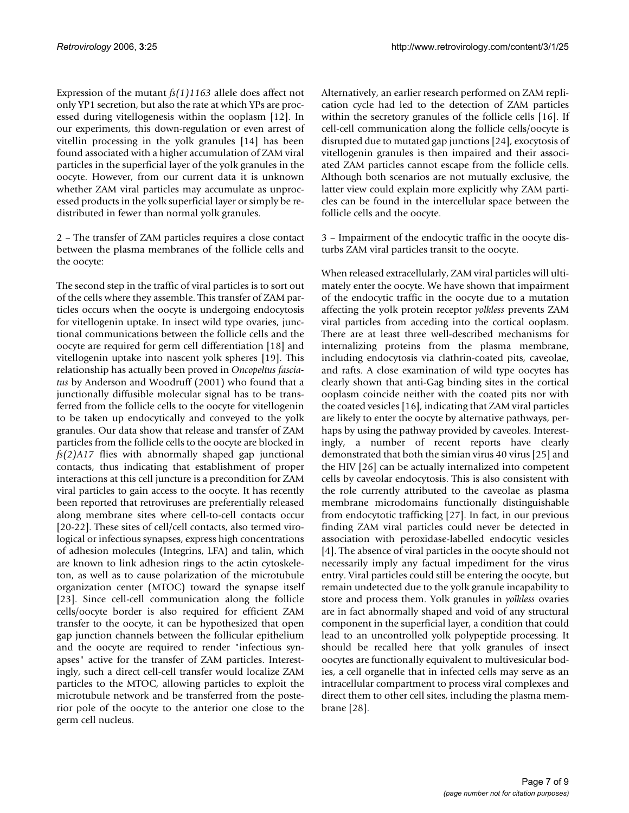Expression of the mutant *fs(1)1163* allele does affect not only YP1 secretion, but also the rate at which YPs are processed during vitellogenesis within the ooplasm [12]. In our experiments, this down-regulation or even arrest of vitellin processing in the yolk granules [14] has been found associated with a higher accumulation of ZAM viral particles in the superficial layer of the yolk granules in the oocyte. However, from our current data it is unknown whether ZAM viral particles may accumulate as unprocessed products in the yolk superficial layer or simply be redistributed in fewer than normal yolk granules.

2 – The transfer of ZAM particles requires a close contact between the plasma membranes of the follicle cells and the oocyte:

The second step in the traffic of viral particles is to sort out of the cells where they assemble. This transfer of ZAM particles occurs when the oocyte is undergoing endocytosis for vitellogenin uptake. In insect wild type ovaries, junctional communications between the follicle cells and the oocyte are required for germ cell differentiation [18] and vitellogenin uptake into nascent yolk spheres [19]. This relationship has actually been proved in *Oncopeltus fasciatus* by Anderson and Woodruff (2001) who found that a junctionally diffusible molecular signal has to be transferred from the follicle cells to the oocyte for vitellogenin to be taken up endocytically and conveyed to the yolk granules. Our data show that release and transfer of ZAM particles from the follicle cells to the oocyte are blocked in *fs(2)A17* flies with abnormally shaped gap junctional contacts, thus indicating that establishment of proper interactions at this cell juncture is a precondition for ZAM viral particles to gain access to the oocyte. It has recently been reported that retroviruses are preferentially released along membrane sites where cell-to-cell contacts occur [20-22]. These sites of cell/cell contacts, also termed virological or infectious synapses, express high concentrations of adhesion molecules (Integrins, LFA) and talin, which are known to link adhesion rings to the actin cytoskeleton, as well as to cause polarization of the microtubule organization center (MTOC) toward the synapse itself [23]. Since cell-cell communication along the follicle cells/oocyte border is also required for efficient ZAM transfer to the oocyte, it can be hypothesized that open gap junction channels between the follicular epithelium and the oocyte are required to render "infectious synapses" active for the transfer of ZAM particles. Interestingly, such a direct cell-cell transfer would localize ZAM particles to the MTOC, allowing particles to exploit the microtubule network and be transferred from the posterior pole of the oocyte to the anterior one close to the germ cell nucleus.

Alternatively, an earlier research performed on ZAM replication cycle had led to the detection of ZAM particles within the secretory granules of the follicle cells [16]. If cell-cell communication along the follicle cells/oocyte is disrupted due to mutated gap junctions [24], exocytosis of vitellogenin granules is then impaired and their associated ZAM particles cannot escape from the follicle cells. Although both scenarios are not mutually exclusive, the latter view could explain more explicitly why ZAM particles can be found in the intercellular space between the follicle cells and the oocyte.

3 – Impairment of the endocytic traffic in the oocyte disturbs ZAM viral particles transit to the oocyte.

When released extracellularly, ZAM viral particles will ultimately enter the oocyte. We have shown that impairment of the endocytic traffic in the oocyte due to a mutation affecting the yolk protein receptor *yolkless* prevents ZAM viral particles from acceding into the cortical ooplasm. There are at least three well-described mechanisms for internalizing proteins from the plasma membrane, including endocytosis via clathrin-coated pits, caveolae, and rafts. A close examination of wild type oocytes has clearly shown that anti-Gag binding sites in the cortical ooplasm coincide neither with the coated pits nor with the coated vesicles [16], indicating that ZAM viral particles are likely to enter the oocyte by alternative pathways, perhaps by using the pathway provided by caveoles. Interestingly, a number of recent reports have clearly demonstrated that both the simian virus 40 virus [25] and the HIV [26] can be actually internalized into competent cells by caveolar endocytosis. This is also consistent with the role currently attributed to the caveolae as plasma membrane microdomains functionally distinguishable from endocytotic trafficking [27]. In fact, in our previous finding ZAM viral particles could never be detected in association with peroxidase-labelled endocytic vesicles [4]. The absence of viral particles in the oocyte should not necessarily imply any factual impediment for the virus entry. Viral particles could still be entering the oocyte, but remain undetected due to the yolk granule incapability to store and process them. Yolk granules in *yolkless* ovaries are in fact abnormally shaped and void of any structural component in the superficial layer, a condition that could lead to an uncontrolled yolk polypeptide processing. It should be recalled here that yolk granules of insect oocytes are functionally equivalent to multivesicular bodies, a cell organelle that in infected cells may serve as an intracellular compartment to process viral complexes and direct them to other cell sites, including the plasma membrane [28].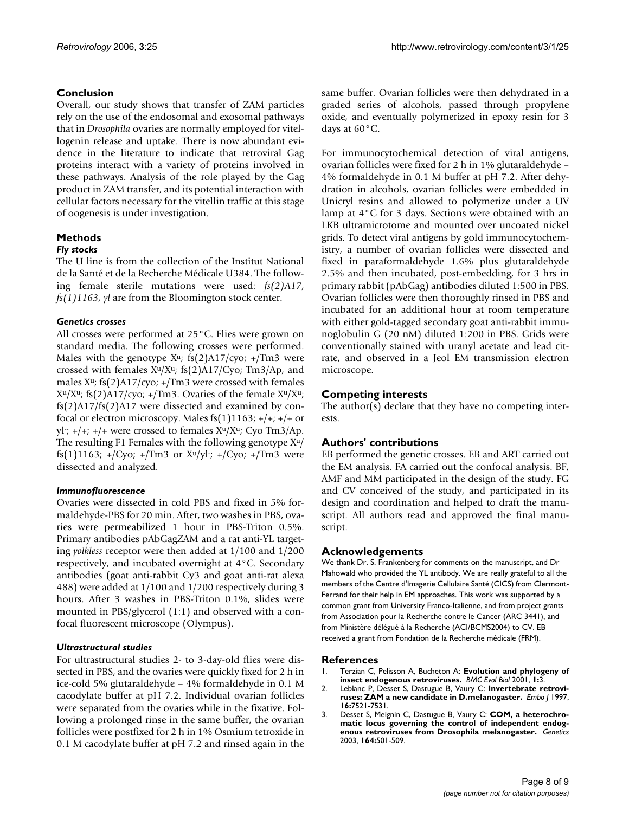#### **Conclusion**

Overall, our study shows that transfer of ZAM particles rely on the use of the endosomal and exosomal pathways that in *Drosophila* ovaries are normally employed for vitellogenin release and uptake. There is now abundant evidence in the literature to indicate that retroviral Gag proteins interact with a variety of proteins involved in these pathways. Analysis of the role played by the Gag product in ZAM transfer, and its potential interaction with cellular factors necessary for the vitellin traffic at this stage of oogenesis is under investigation.

## **Methods**

#### *Fly stocks*

The U line is from the collection of the Institut National de la Santé et de la Recherche Médicale U384. The following female sterile mutations were used: *fs(2)A17*, *fs(1)1163*, *yl* are from the Bloomington stock center.

#### *Genetics crosses*

All crosses were performed at 25°C. Flies were grown on standard media. The following crosses were performed. Males with the genotype  $X^u$ ; fs(2)A17/cyo; +/Tm3 were crossed with females  $X^u/X^u$ ; fs(2)A17/Cyo; Tm3/Ap, and males  $X^u$ ; fs(2)A17/cyo; +/Tm3 were crossed with females  $X^u/X^u$ ; fs(2)A17/cyo; +/Tm3. Ovaries of the female  $X^u/X^u$ ; fs(2)A17/fs(2)A17 were dissected and examined by confocal or electron microscopy. Males fs $(1)$ 1163; +/+; +/+ or yl- ; +/+; +/+ were crossed to females X<sup>u</sup>/X<sup>u</sup>; Cyo Tm3/Ap. The resulting F1 Females with the following genotype  $X^u$ / fs(1)1163; +/Cyo; +/Tm3 or X<sup>u</sup>/yl- ; +/Cyo; +/Tm3 were dissected and analyzed.

#### *Immunofluorescence*

Ovaries were dissected in cold PBS and fixed in 5% formaldehyde-PBS for 20 min. After, two washes in PBS, ovaries were permeabilized 1 hour in PBS-Triton 0.5%. Primary antibodies pAbGagZAM and a rat anti-YL targeting *yolkless* receptor were then added at 1/100 and 1/200 respectively, and incubated overnight at 4°C. Secondary antibodies (goat anti-rabbit Cy3 and goat anti-rat alexa 488) were added at 1/100 and 1/200 respectively during 3 hours. After 3 washes in PBS-Triton 0.1%, slides were mounted in PBS/glycerol (1:1) and observed with a confocal fluorescent microscope (Olympus).

#### *Ultrastructural studies*

For ultrastructural studies 2- to 3-day-old flies were dissected in PBS, and the ovaries were quickly fixed for 2 h in ice-cold 5% glutaraldehyde – 4% formaldehyde in 0.1 M cacodylate buffer at pH 7.2. Individual ovarian follicles were separated from the ovaries while in the fixative. Following a prolonged rinse in the same buffer, the ovarian follicles were postfixed for 2 h in 1% Osmium tetroxide in 0.1 M cacodylate buffer at pH 7.2 and rinsed again in the same buffer. Ovarian follicles were then dehydrated in a graded series of alcohols, passed through propylene oxide, and eventually polymerized in epoxy resin for 3 days at 60°C.

For immunocytochemical detection of viral antigens, ovarian follicles were fixed for 2 h in 1% glutaraldehyde – 4% formaldehyde in 0.1 M buffer at pH 7.2. After dehydration in alcohols, ovarian follicles were embedded in Unicryl resins and allowed to polymerize under a UV lamp at 4°C for 3 days. Sections were obtained with an LKB ultramicrotome and mounted over uncoated nickel grids. To detect viral antigens by gold immunocytochemistry, a number of ovarian follicles were dissected and fixed in paraformaldehyde 1.6% plus glutaraldehyde 2.5% and then incubated, post-embedding, for 3 hrs in primary rabbit (pAbGag) antibodies diluted 1:500 in PBS. Ovarian follicles were then thoroughly rinsed in PBS and incubated for an additional hour at room temperature with either gold-tagged secondary goat anti-rabbit immunoglobulin G (20 nM) diluted 1:200 in PBS. Grids were conventionally stained with uranyl acetate and lead citrate, and observed in a Jeol EM transmission electron microscope.

#### **Competing interests**

The author(s) declare that they have no competing interests.

#### **Authors' contributions**

EB performed the genetic crosses. EB and ART carried out the EM analysis. FA carried out the confocal analysis. BF, AMF and MM participated in the design of the study. FG and CV conceived of the study, and participated in its design and coordination and helped to draft the manuscript. All authors read and approved the final manuscript.

#### **Acknowledgements**

We thank Dr. S. Frankenberg for comments on the manuscript, and Dr Mahowald who provided the YL antibody. We are really grateful to all the members of the Centre d'Imagerie Cellulaire Santé (CICS) from Clermont-Ferrand for their help in EM approaches. This work was supported by a common grant from University Franco-Italienne, and from project grants from Association pour la Recherche contre le Cancer (ARC 3441), and from Ministère délégué à la Recherche (ACI/BCMS2004) to CV. EB received a grant from Fondation de la Recherche médicale (FRM).

#### **References**

- 1. Terzian C, Pelisson A, Bucheton A: **[Evolution and phylogeny of](http://www.ncbi.nlm.nih.gov/entrez/query.fcgi?cmd=Retrieve&db=PubMed&dopt=Abstract&list_uids=11591216) [insect endogenous retroviruses.](http://www.ncbi.nlm.nih.gov/entrez/query.fcgi?cmd=Retrieve&db=PubMed&dopt=Abstract&list_uids=11591216)** *BMC Evol Biol* 2001, **1:**3.
- 2. Leblanc P, Desset S, Dastugue B, Vaury C: **[Invertebrate retrovi](http://www.ncbi.nlm.nih.gov/entrez/query.fcgi?cmd=Retrieve&db=PubMed&dopt=Abstract&list_uids=9405380)[ruses: ZAM a new candidate in D.melanogaster.](http://www.ncbi.nlm.nih.gov/entrez/query.fcgi?cmd=Retrieve&db=PubMed&dopt=Abstract&list_uids=9405380)** *Embo J* 1997, **16:**7521-7531.
- 3. Desset S, Meignin C, Dastugue B, Vaury C: **[COM, a heterochro](http://www.ncbi.nlm.nih.gov/entrez/query.fcgi?cmd=Retrieve&db=PubMed&dopt=Abstract&list_uids=12807771)[matic locus governing the control of independent endog](http://www.ncbi.nlm.nih.gov/entrez/query.fcgi?cmd=Retrieve&db=PubMed&dopt=Abstract&list_uids=12807771)[enous retroviruses from Drosophila melanogaster.](http://www.ncbi.nlm.nih.gov/entrez/query.fcgi?cmd=Retrieve&db=PubMed&dopt=Abstract&list_uids=12807771)** *Genetics* 2003, **164:**501-509.